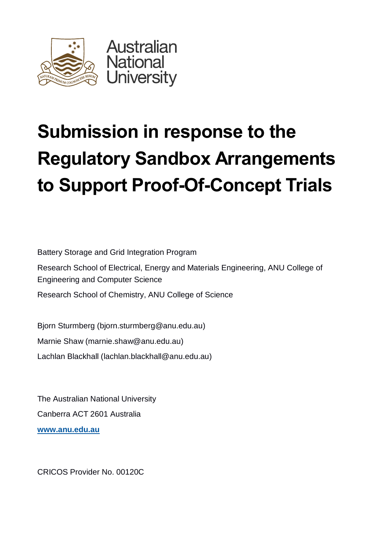

# **Submission in response to the Regulatory Sandbox Arrangements to Support Proof-Of-Concept Trials**

Battery Storage and Grid Integration Program

Research School of Electrical, Energy and Materials Engineering, ANU College of Engineering and Computer Science

Research School of Chemistry, ANU College of Science

Bjorn Sturmberg [\(bjorn.sturmberg@anu.edu.au\)](mailto:bjorn.sturmberg@anu.edu.au) Marnie Shaw [\(marnie.shaw@anu.edu.au\)](mailto:marnie.shaw@anu.edu.au) Lachlan Blackhall [\(lachlan.blackhall@anu.edu.au\)](mailto:lachlan.blackhall@anu.edu.au)

The Australian National University Canberra ACT 2601 Australia **www.anu.edu.au**

CRICOS Provider No. 00120C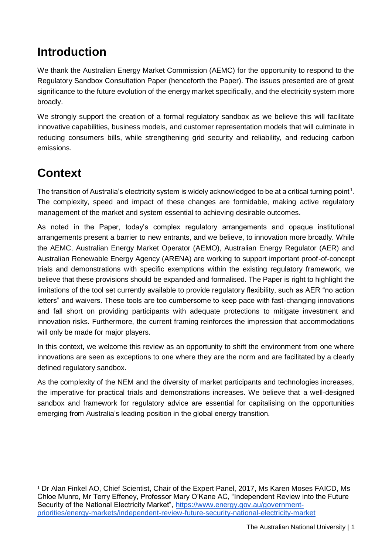### **Introduction**

We thank the Australian Energy Market Commission (AEMC) for the opportunity to respond to the Regulatory Sandbox Consultation Paper (henceforth the Paper). The issues presented are of great significance to the future evolution of the energy market specifically, and the electricity system more broadly.

We strongly support the creation of a formal regulatory sandbox as we believe this will facilitate innovative capabilities, business models, and customer representation models that will culminate in reducing consumers bills, while strengthening grid security and reliability, and reducing carbon emissions.

## **Context**

l

The transition of Australia's electricity system is widely acknowledged to be at a critical turning point<sup>1</sup>. The complexity, speed and impact of these changes are formidable, making active regulatory management of the market and system essential to achieving desirable outcomes.

As noted in the Paper, today's complex regulatory arrangements and opaque institutional arrangements present a barrier to new entrants, and we believe, to innovation more broadly. While the AEMC, Australian Energy Market Operator (AEMO), Australian Energy Regulator (AER) and Australian Renewable Energy Agency (ARENA) are working to support important proof-of-concept trials and demonstrations with specific exemptions within the existing regulatory framework, we believe that these provisions should be expanded and formalised. The Paper is right to highlight the limitations of the tool set currently available to provide regulatory flexibility, such as AER "no action letters" and waivers. These tools are too cumbersome to keep pace with fast-changing innovations and fall short on providing participants with adequate protections to mitigate investment and innovation risks. Furthermore, the current framing reinforces the impression that accommodations will only be made for major players.

In this context, we welcome this review as an opportunity to shift the environment from one where innovations are seen as exceptions to one where they are the norm and are facilitated by a clearly defined regulatory sandbox.

As the complexity of the NEM and the diversity of market participants and technologies increases, the imperative for practical trials and demonstrations increases. We believe that a well-designed sandbox and framework for regulatory advice are essential for capitalising on the opportunities emerging from Australia's leading position in the global energy transition.

<sup>&</sup>lt;sup>1</sup> Dr Alan Finkel AO, Chief Scientist, Chair of the Expert Panel, 2017, Ms Karen Moses FAICD, Ms Chloe Munro, Mr Terry Effeney, Professor Mary O'Kane AC, "Independent Review into the Future Security of the National Electricity Market", [https://www.energy.gov.au/government](https://www.energy.gov.au/government-priorities/energy-markets/independent-review-future-security-national-electricity-market)[priorities/energy-markets/independent-review-future-security-national-electricity-market](https://www.energy.gov.au/government-priorities/energy-markets/independent-review-future-security-national-electricity-market)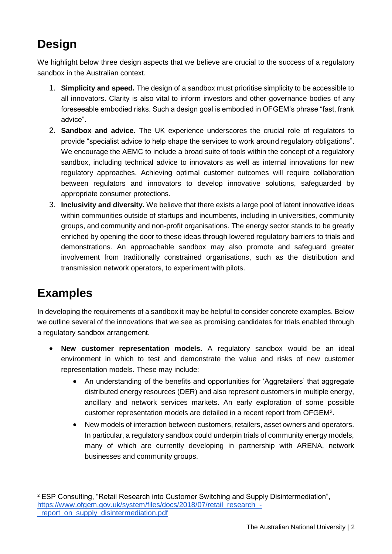## **Design**

We highlight below three design aspects that we believe are crucial to the success of a regulatory sandbox in the Australian context.

- 1. **Simplicity and speed.** The design of a sandbox must prioritise simplicity to be accessible to all innovators. Clarity is also vital to inform investors and other governance bodies of any foreseeable embodied risks. Such a design goal is embodied in OFGEM's phrase "fast, frank advice".
- 2. **Sandbox and advice.** The UK experience underscores the crucial role of regulators to provide "specialist advice to help shape the services to work around regulatory obligations". We encourage the AEMC to include a broad suite of tools within the concept of a regulatory sandbox, including technical advice to innovators as well as internal innovations for new regulatory approaches. Achieving optimal customer outcomes will require collaboration between regulators and innovators to develop innovative solutions, safeguarded by appropriate consumer protections.
- 3. **Inclusivity and diversity.** We believe that there exists a large pool of latent innovative ideas within communities outside of startups and incumbents, including in universities, community groups, and community and non-profit organisations. The energy sector stands to be greatly enriched by opening the door to these ideas through lowered regulatory barriers to trials and demonstrations. An approachable sandbox may also promote and safeguard greater involvement from traditionally constrained organisations, such as the distribution and transmission network operators, to experiment with pilots.

### **Examples**

In developing the requirements of a sandbox it may be helpful to consider concrete examples. Below we outline several of the innovations that we see as promising candidates for trials enabled through a regulatory sandbox arrangement.

- **New customer representation models.** A regulatory sandbox would be an ideal environment in which to test and demonstrate the value and risks of new customer representation models. These may include:
	- An understanding of the benefits and opportunities for 'Aggretailers' that aggregate distributed energy resources (DER) and also represent customers in multiple energy, ancillary and network services markets. An early exploration of some possible customer representation models are detailed in a recent report from OFGEM<sup>2</sup> .
	- New models of interaction between customers, retailers, asset owners and operators. In particular, a regulatory sandbox could underpin trials of community energy models, many of which are currently developing in partnership with ARENA, network businesses and community groups.

<sup>2</sup> ESP Consulting, "Retail Research into Customer Switching and Supply Disintermediation", [https://www.ofgem.gov.uk/system/files/docs/2018/07/retail\\_research\\_](https://www.ofgem.gov.uk/system/files/docs/2018/07/retail_research_-_report_on_supply_disintermediation.pdf) report on supply disintermediation.pdf